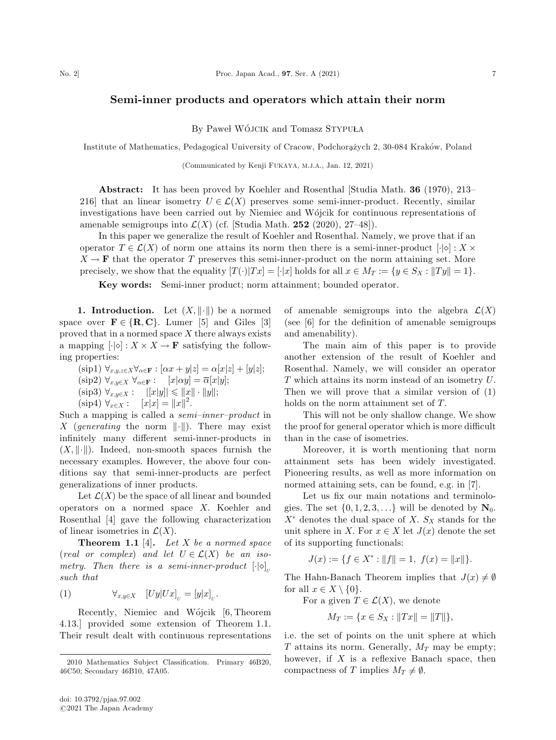## Semi-inner products and operators which attain their norm

By Pawel WO´JCIK and Tomasz STYPUŁA

Institute of Mathematics, Pedagogical University of Cracow, Podchorażych 2, 30-084 Kraków, Poland

(Communicated by Kenji FUKAYA, M.J.A., Jan. 12, 2021)

Abstract: It has been proved by Koehler and Rosenthal [Studia Math. 36 (1970), 213– 216] that an linear isometry  $U \in \mathcal{L}(X)$  preserves some semi-inner-product. Recently, similar investigations have been carried out by Niemiec and Wójcik for continuous representations of amenable semigroups into  $\mathcal{L}(X)$  (cf. [Studia Math. 252 (2020), 27–48]).

In this paper we generalize the result of Koehler and Rosenthal. Namely, we prove that if an operator  $T \in \mathcal{L}(X)$  of norm one attains its norm then there is a semi-inner-product  $[\cdot] \circ] : X \times$  $X \to \mathbf{F}$  that the operator T preserves this semi-inner-product on the norm attaining set. More precisely, we show that the equality  $[T(\cdot)|Tx] = [\cdot|x]$  holds for all  $x \in M_T := \{y \in S_X : ||Ty|| = 1\}$ .

Key words: Semi-inner product; norm attainment; bounded operator.

**1. Introduction.** Let  $(X, \|\cdot\|)$  be a normed space over  $\mathbf{F} \in \{R, C\}$ . Lumer [5] and Giles [3] proved that in a normed space  $X$  there always exists a mapping  $\left[\cdot|\diamond\right]: X \times X \to \mathbf{F}$  satisfying the following properties:

 $(\text{sip1}) \ \forall_{x,y,z \in X} \forall_{\alpha \in \mathbf{F}} : [\alpha x + y | z] = \alpha [x | z] + [y | z];$  $(\text{sip2}) \; \forall_{x,y \in X} \; \forall_{\alpha \in \mathbf{F}} : \quad [x|\alpha y] = \overline{\alpha}[x|y];$ (sip3)  $\forall_{x,y\in X} : ||[x|y]|| \le ||x|| \cdot ||y||;$  $(\text{sip4}) \ \forall_{x \in X} : \quad [x|x] = ||x||^2.$ 

Such a mapping is called a semi–inner–product in X (generating the norm  $\|\cdot\|$ ). There may exist infinitely many different semi-inner-products in  $(X, \|\cdot\|)$ . Indeed, non-smooth spaces furnish the necessary examples. However, the above four conditions say that semi-inner-products are perfect generalizations of inner products.

Let  $\mathcal{L}(X)$  be the space of all linear and bounded operators on a normed space X. Koehler and Rosenthal [4] gave the following characterization of linear isometries in  $\mathcal{L}(X)$ .

**Theorem 1.1** [4]. Let X be a normed space (real or complex) and let  $U \in \mathcal{L}(X)$  be an isometry. Then there is a semi-inner-product  $\left[\cdot|\diamond\right]_v$ such that

(1) 
$$
\forall_{x,y \in X} \quad [Uy|Ux]_{U} = [y|x]_{U}.
$$

Recently, Niemiec and Wójcik [6, Theorem] 4.13.] provided some extension of Theorem 1.1. Their result dealt with continuous representations of amenable semigroups into the algebra  $\mathcal{L}(X)$ (see [6] for the definition of amenable semigroups and amenability).

The main aim of this paper is to provide another extension of the result of Koehler and Rosenthal. Namely, we will consider an operator T which attains its norm instead of an isometry U. Then we will prove that a similar version of (1) holds on the norm attainment set of T.

This will not be only shallow change. We show the proof for general operator which is more difficult than in the case of isometries.

Moreover, it is worth mentioning that norm attainment sets has been widely investigated. Pioneering results, as well as more information on normed attaining sets, can be found, e.g. in [7].

Let us fix our main notations and terminologies. The set  $\{0, 1, 2, 3, \ldots\}$  will be denoted by  $\mathbf{N}_0$ .  $X^*$  denotes the dual space of X.  $S_X$  stands for the unit sphere in X. For  $x \in X$  let  $J(x)$  denote the set of its supporting functionals:

$$
J(x) := \{ f \in X^* : ||f|| = 1, \ f(x) = ||x|| \}.
$$

The Hahn-Banach Theorem implies that  $J(x) \neq \emptyset$ for all  $x \in X \setminus \{0\}$ .

For a given  $T \in \mathcal{L}(X)$ , we denote

$$
M_T := \{ x \in S_X : ||Tx|| = ||T|| \},\
$$

i.e. the set of points on the unit sphere at which T attains its norm. Generally,  $M_T$  may be empty; however, if  $X$  is a reflexive Banach space, then compactness of T implies  $M_T \neq \emptyset$ .

<sup>2010</sup> Mathematics Subject Classification. Primary 46B20, 46C50; Secondary 46B10, 47A05.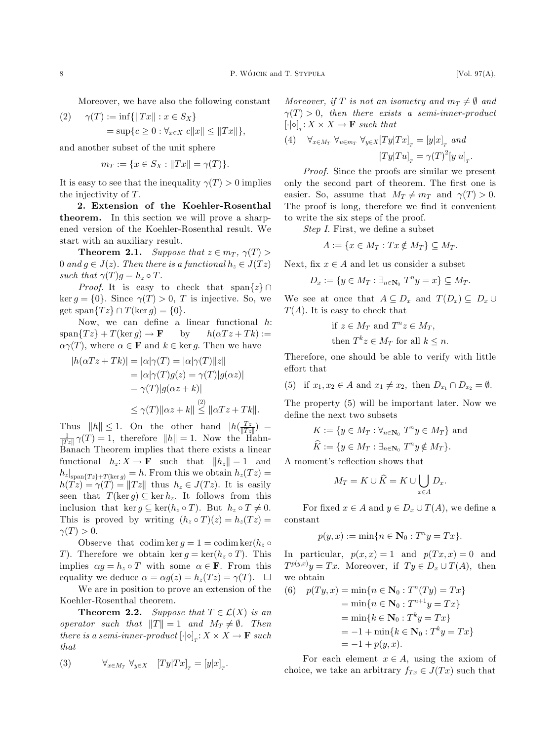Moreover, we have also the following constant

(2) 
$$
\gamma(T) := \inf \{ ||Tx|| : x \in S_X \}
$$
  
=  $\sup \{ c \ge 0 : \forall_{x \in X} c ||x|| \le ||Tx|| \},$ 

and another subset of the unit sphere

$$
m_T := \{ x \in S_X : ||Tx|| = \gamma(T) \}.
$$

It is easy to see that the inequality  $\gamma(T) > 0$  implies the injectivity of T.

2. Extension of the Koehler-Rosenthal theorem. In this section we will prove a sharpened version of the Koehler-Rosenthal result. We start with an auxiliary result.

**Theorem 2.1.** Suppose that  $z \in m_T$ ,  $\gamma(T) >$ 0 and  $g \in J(z)$ . Then there is a functional  $h_z \in J(Tz)$ such that  $\gamma(T)q = h_z \circ T$ .

*Proof.* It is easy to check that span $\{z\} \cap$ ker  $g = \{0\}$ . Since  $\gamma(T) > 0$ , T is injective. So, we get span $\{Tz\} \cap T(\ker q) = \{0\}.$ 

Now, we can define a linear functional h:  $span\{Tz\}+T(\ker g)\to \mathbf{F}$  by  $h(\alpha T z + T k) :=$  $\alpha\gamma(T)$ , where  $\alpha \in \mathbf{F}$  and  $k \in \text{ker } g$ . Then we have

$$
|h(\alpha Tz + Tk)| = |\alpha|\gamma(T) = |\alpha|\gamma(T)||z||
$$
  
=  $|\alpha|\gamma(T)g(z) = \gamma(T)|g(\alpha z)|$   
=  $\gamma(T)|g(\alpha z + k)|$   
 $\leq \gamma(T)||\alpha z + k|| \leq ||\alpha Tz + Tk||.$ 

Thus  $||h|| \le 1$ . On the other hand  $|h(\frac{Tz}{||Tz||})| = \frac{1}{||Tz||} \gamma(T) = 1$ , therefore  $||h|| = 1$ . Now the Hahn-Banach Theorem implies that there exists a linear functional  $h_z: X \to \mathbf{F}$  such that  $||h_z|| = 1$  and  $h_z|_{\text{span}\lbrace Tz\rbrace + T(\text{ker } g)} = h.$  From this we obtain  $h_z(Tz) =$  $h(\hat{Tz}) = \gamma(\hat{T}) = ||Tz||$  thus  $h_z \in J(Tz)$ . It is easily seen that  $T(\ker g) \subseteq \ker h_z$ . It follows from this inclusion that  $\ker g \subseteq \ker(h_z \circ T)$ . But  $h_z \circ T \neq 0$ . This is proved by writing  $(h_z \circ T)(z) = h_z(Tz) =$  $\gamma(T) > 0.$ 

Observe that codim ker  $q = 1 = \text{codim ker}(h_z \circ$ T). Therefore we obtain ker  $g = \ker(h_z \circ T)$ . This implies  $\alpha g = h_z \circ T$  with some  $\alpha \in \mathbf{F}$ . From this equality we deduce  $\alpha = \alpha g(z) = h_z(Tz) = \gamma(T)$ .  $\Box$ 

We are in position to prove an extension of the Koehler-Rosenthal theorem.

**Theorem 2.2.** Suppose that  $T \in \mathcal{L}(X)$  is an operator such that  $||T|| = 1$  and  $M_T \neq \emptyset$ . Then there is a semi-inner-product  $\left[\cdot|\diamond\right]_T : X \times X \to \mathbf{F}$  such that

(3) 
$$
\forall_{x \in M_T} \ \forall_{y \in X} \ [Ty|Tx]_T = [y|x]_T.
$$

Moreover, if T is not an isometry and  $m_T \neq \emptyset$  and  $\gamma(T) > 0$ , then there exists a semi-inner-product  $\left[\cdot\middle|\diamond\right]_T : X \times X \to \mathbf{F}$  such that

(4) 
$$
\forall_{x \in M_T} \ \forall_{u \in m_T} \ \forall_{y \in X} [Ty|Tx]_T = [y|x]_T \ and
$$

$$
[Ty|Tu]_T = \gamma(T)^2[y|u]_T.
$$

Proof. Since the proofs are similar we present only the second part of theorem. The first one is easier. So, assume that  $M_T \neq m_T$  and  $\gamma(T) > 0$ . The proof is long, therefore we find it convenient to write the six steps of the proof.

Step I. First, we define a subset

$$
A := \{ x \in M_T : Tx \notin M_T \} \subseteq M_T.
$$

Next, fix  $x \in A$  and let us consider a subset

 $D_x := \{y \in M_T : \exists_{n \in \mathbb{N}_0} T^n y = x\} \subseteq M_T.$ 

We see at once that  $A \subseteq D_x$  and  $T(D_x) \subseteq D_x \cup$  $T(A)$ . It is easy to check that

if 
$$
z \in M_T
$$
 and  $T^n z \in M_T$ ,  
then  $T^k z \in M_T$  for all  $k \leq n$ .

Therefore, one should be able to verify with little effort that

(5) if 
$$
x_1, x_2 \in A
$$
 and  $x_1 \neq x_2$ , then  $D_{x_1} \cap D_{x_2} = \emptyset$ .

The property (5) will be important later. Now we define the next two subsets

$$
K := \{ y \in M_T : \forall_{n \in \mathbb{N}_0} T^n y \in M_T \}
$$
 and  

$$
\widehat{K} := \{ y \in M_T : \exists_{n \in \mathbb{N}_0} T^n y \notin M_T \}.
$$

A moment's reflection shows that

$$
M_T = K \cup \widehat{K} = K \cup \bigcup_{x \in A} D_x.
$$

For fixed  $x \in A$  and  $y \in D_x \cup T(A)$ , we define a constant

$$
p(y, x) := \min\{n \in \mathbf{N}_0 : T^n y = Tx\}.
$$

In particular,  $p(x, x) = 1$  and  $p(Tx, x) = 0$  and  $T^{p(y,x)}y = Tx$ . Moreover, if  $Ty \in D_x \cup T(A)$ , then we obtain

(6) 
$$
p(Ty, x) = \min\{n \in \mathbb{N}_0 : T^n(Ty) = Tx\}
$$
  
\t\t\t\t $= \min\{n \in \mathbb{N}_0 : T^{n+1}y = Tx\}$   
\t\t\t\t $= \min\{k \in \mathbb{N}_0 : T^k y = Tx\}$   
\t\t\t\t $= -1 + \min\{k \in \mathbb{N}_0 : T^k y = Tx\}$   
\t\t\t\t $= -1 + p(y, x).$ 

For each element  $x \in A$ , using the axiom of choice, we take an arbitrary  $f_{Tx} \in J(Tx)$  such that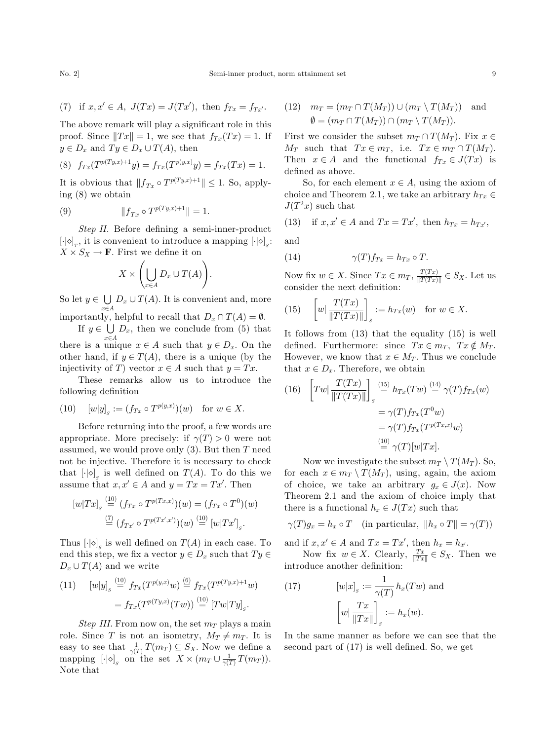(7) if 
$$
x, x' \in A
$$
,  $J(Tx) = J(Tx')$ , then  $f_{Tx} = f_{Tx'}$ .

The above remark will play a significant role in this proof. Since  $||Tx|| = 1$ , we see that  $f_{Tx}(Tx) = 1$ . If  $y \in D_x$  and  $Ty \in D_x \cup T(A)$ , then

(8) 
$$
f_{Tx}(T^{p(Ty,x)+1}y) = f_{Tx}(T^{p(y,x)}y) = f_{Tx}(Tx) = 1.
$$

It is obvious that  $||f_{Tx} \circ T^{p(T y,x)+1}|| \leq 1$ . So, applying (8) we obtain

(9) 
$$
||f_{Tx} \circ T^{p(Ty,x)+1}|| = 1.
$$

Step II. Before defining a semi-inner-product  $\left[\cdot|\diamond\right]_T$ , it is convenient to introduce a mapping  $\left[\cdot|\diamond\right]_S$ :  $X \times S_X \to \mathbf{F}$ . First we define it on

$$
X \times \left(\bigcup_{x \in A} D_x \cup T(A)\right).
$$

So let  $y \in \bigcup D_x \cup T(A)$ . It is convenient and, more  $x \in A$ importantly, helpful to recall that  $D_x \cap T(A) = \emptyset$ .

If  $y \in \bigcup D_x$ , then we conclude from (5) that there is a unique  $x \in A$  such that  $y \in D_x$ . On the other hand, if  $y \in T(A)$ , there is a unique (by the injectivity of T) vector  $x \in A$  such that  $y = Tx$ .

These remarks allow us to introduce the following definition

(10) 
$$
[w|y]_s := (f_{Tx} \circ T^{p(y,x)})(w)
$$
 for  $w \in X$ .

Before returning into the proof, a few words are appropriate. More precisely: if  $\gamma(T) > 0$  were not assumed, we would prove only  $(3)$ . But then T need not be injective. Therefore it is necessary to check that  $\left[\cdot|\diamond\right]_S$  is well defined on  $T(A)$ . To do this we assume that  $x, x' \in A$  and  $y = Tx = Tx'$ . Then

$$
[w|Tx]_s \stackrel{(10)}{=} (f_{Tx} \circ T^{p(Tx,x)})(w) = (f_{Tx} \circ T^0)(w)
$$

$$
\stackrel{(7)}{=} (f_{Tx'} \circ T^{p(Tx',x')})(w) \stackrel{(10)}{=} [w|Tx']_s.
$$

Thus  $\left[\cdot | \diamond \right]_s$  is well defined on  $T(A)$  in each case. To end this step, we fix a vector  $y \in D_x$  such that  $Ty \in$  $D_x \cup T(A)$  and we write

(11) 
$$
[w|y]_s \stackrel{(10)}{=} f_{Tx}(T^{p(y,x)}w) \stackrel{(6)}{=} f_{Tx}(T^{p(Ty,x)+1}w)
$$

$$
= f_{Tx}(T^{p(Ty,x)}(Tw)) \stackrel{(10)}{=} [Tw|Ty]_s.
$$

Step III. From now on, the set  $m<sub>T</sub>$  plays a main role. Since T is not an isometry,  $M_T \neq m_T$ . It is easy to see that  $\frac{1}{\gamma(T)}T(m_T) \subseteq S_X$ . Now we define a mapping  $\left[\cdot | \diamond \right]_s$  on the set  $X \times (m_T \cup \frac{1}{\gamma(T)} T(m_T)).$ Note that

(12) 
$$
m_T = (m_T \cap T(M_T)) \cup (m_T \setminus T(M_T))
$$
 and  
\n
$$
\emptyset = (m_T \cap T(M_T)) \cap (m_T \setminus T(M_T)).
$$

First we consider the subset  $m_T \cap T(M_T)$ . Fix  $x \in$  $M_T$  such that  $Tx \in m_T$ , i.e.  $Tx \in m_T \cap T(M_T)$ . Then  $x \in A$  and the functional  $f_{Tx} \in J(Tx)$  is defined as above.

So, for each element  $x \in A$ , using the axiom of choice and Theorem 2.1, we take an arbitrary  $h_{Tx} \in$  $J(T^2x)$  such that

(13) if 
$$
x, x' \in A
$$
 and  $Tx = Tx'$ , then  $h_{Tx} = h_{Tx'}$ ,

and

(14) 
$$
\gamma(T)f_{Tx} = h_{Tx} \circ T.
$$

Now fix  $w \in X$ . Since  $Tx \in m_T$ ,  $\frac{T(Tx)}{\|T(Tx)\|} \in S_X$ . Let us consider the next definition:

(15) 
$$
\left[w \mid \frac{T(Tx)}{\|T(Tx)\|}\right]_s := h_{Tx}(w) \text{ for } w \in X.
$$

It follows from (13) that the equality (15) is well defined. Furthermore: since  $Tx \in m_T$ ,  $Tx \notin M_T$ . However, we know that  $x \in M_T$ . Thus we conclude that  $x \in D<sub>x</sub>$ . Therefore, we obtain

(16) 
$$
\left[ Tw \middle| \frac{T(Tx)}{\Vert T(Tx) \Vert} \right]_s \stackrel{\text{(15)}}{=} h_{Tx}(Tw) \stackrel{\text{(14)}}{=} \gamma(T) f_{Tx}(w)
$$

$$
= \gamma(T) f_{Tx}(T^0 w)
$$

$$
= \gamma(T) f_{Tx}(T^{p(Tx,x)} w)
$$

$$
\stackrel{\text{(10)}}{=} \gamma(T) [w|Tx].
$$

Now we investigate the subset  $m_T \setminus T(M_T)$ . So, for each  $x \in m_T \setminus T(M_T)$ , using, again, the axiom of choice, we take an arbitrary  $g_x \in J(x)$ . Now Theorem 2.1 and the axiom of choice imply that there is a functional  $h_x \in J(Tx)$  such that

 $\gamma(T)g_x = h_x \circ T$  (in particular,  $||h_x \circ T|| = \gamma(T)$ )

and if  $x, x' \in A$  and  $Tx = Tx'$ , then  $h_x = h_{x'}$ .

Now fix  $w \in X$ . Clearly,  $\frac{Tx}{\|Tx\|} \in S_X$ . Then we introduce another definition:

(17) 
$$
[w|x]_s := \frac{1}{\gamma(T)} h_x(Tw) \text{ and}
$$

$$
\left[w \mid \frac{Tx}{\|Tx\|}\right]_s := h_x(w).
$$

In the same manner as before we can see that the second part of (17) is well defined. So, we get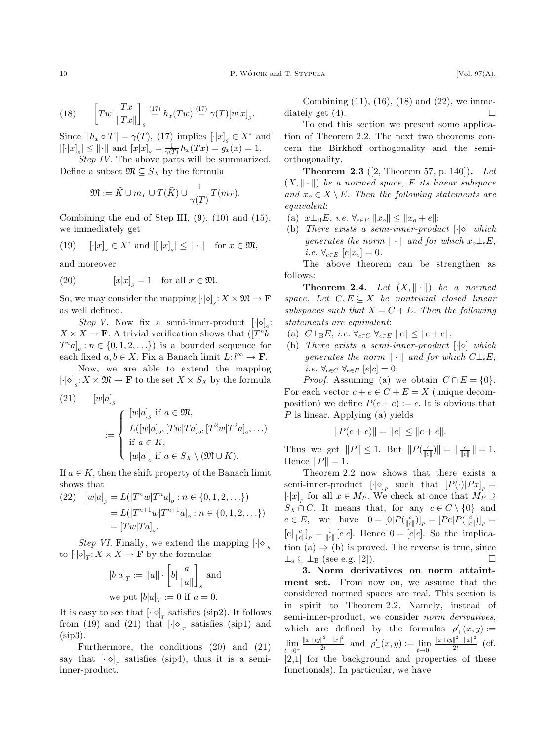(18) 
$$
\left[Tw\left|\frac{Tx}{\|Tx\|}\right]_s \stackrel{(17)}{=} h_x(Tw) \stackrel{(17)}{=} \gamma(T)[w|x]_s.
$$

Since  $||h_x \circ T|| = \gamma(T)$ , (17) implies  $[\cdot |x]_s \in X^*$  and  $|[\cdot|x]_s| \le ||\cdot||$  and  $[x|x]_s = \frac{1}{\gamma(T)} h_x(Tx) = g_x(x) = 1.$ 

Step IV. The above parts will be summarized. Define a subset  $\mathfrak{M} \subseteq S_X$  by the formula

$$
\mathfrak{M} := \widehat{K} \cup m_T \cup T(\widehat{K}) \cup \frac{1}{\gamma(T)} T(m_T).
$$

Combining the end of Step III,  $(9)$ ,  $(10)$  and  $(15)$ , we immediately get

(19) 
$$
\left[\cdot|x\right]_s \in X^*
$$
 and  $\left|\left[\cdot|x\right]_s\right| \le ||\cdot||$  for  $x \in \mathfrak{M}$ ,

and moreover

(20) 
$$
[x|x]_s = 1 \text{ for all } x \in \mathfrak{M}.
$$

So, we may consider the mapping  $\left[\cdot|\diamond\right]_s : X \times \mathfrak{M} \to \mathbf{F}$ as well defined.

Step V. Now fix a semi-inner-product  $[\cdot] \circ]_o$ :  $X \times X \to \mathbf{F}$ . A trivial verification shows that  $([T^n b]$  $T^n a]_o : n \in \{0, 1, 2, \ldots\}$  is a bounded sequence for each fixed  $a, b \in X$ . Fix a Banach limit  $L: l^{\infty} \to \mathbf{F}$ .

Now, we are able to extend the mapping  $\left[\cdot | \diamond\right]_s : X \times \mathfrak{M} \to \mathbf{F}$  to the set  $X \times S_X$  by the formula

(21) 
$$
[w|a]_s
$$

$$
:= \begin{cases} [w|a]_s \text{ if } a \in \mathfrak{M}, \\ L([w|a]_o, [Tw|Ta]_o, [T^2w|T^2a]_o, \ldots) \\ \text{if } a \in K, \\ [w|a]_o \text{ if } a \in S_X \setminus (\mathfrak{M} \cup K). \end{cases}
$$

If  $a \in K$ , then the shift property of the Banach limit shows that

(22) 
$$
[w|a]_s = L([T^n w | T^n a]_o : n \in \{0, 1, 2, \ldots\})
$$

$$
= L([T^{n+1} w | T^{n+1} a]_o : n \in \{0, 1, 2, \ldots\})
$$

$$
= [Tw | Ta]_s.
$$

Step VI. Finally, we extend the mapping  $\left[\cdot | \diamond \right]_s$ to  $\left[\cdot | \diamondlearrowright]_T : X \times X \to \mathbf{F}$  by the formulas

$$
[b|a]_T:=\|a\|\cdot\left[b|\frac{a}{\|a\|}\right]_s \text{ and}
$$
 we put  $[b|a]_T:=0$  if  $a=0.$ 

It is easy to see that  $\left[\cdot\middle|\diamond\right]_T$  satisfies (sip2). It follows from (19) and (21) that  $\left[\cdot|\diamond\right]_T$  satisfies (sip1) and (sip3).

Furthermore, the conditions (20) and (21) say that  $\left[\cdot|\diamond\right]_T$  satisfies (sip4), thus it is a semiinner-product.

Combining (11), (16), (18) and (22), we immediately get  $(4)$ .

To end this section we present some application of Theorem 2.2. The next two theorems concern the Birkhoff orthogonality and the semiorthogonality.

**Theorem 2.3** ([2, Theorem 57, p. 140]). Let  $(X, \|\cdot\|)$  be a normed space, E its linear subspace and  $x_o \in X \setminus E$ . Then the following statements are equivalent:

- (a)  $x \perp_B E$ , i.e.  $\forall_{e \in E} ||x_o|| \leq ||x_o + e||;$
- (b) There exists a semi-inner-product  $[\cdot] \diamond$  which generates the norm  $\|\cdot\|$  and for which  $x_o \perp_{\rm s} E$ , i.e.  $\forall_{e \in E}$   $[e|x_o] = 0$ .

The above theorem can be strengthen as follows:

**Theorem 2.4.** Let  $(X, \|\cdot\|)$  be a normed space. Let  $C, E \subseteq X$  be nontrivial closed linear subspaces such that  $X = C + E$ . Then the following statements are equivalent:

- (a)  $C\perp_B E$ , i.e.  $\forall_{c\in C} \ \forall_{e\in E} \ ||c|| \leq ||c+e||;$
- (b) There exists a semi-inner-product  $[\cdot] \diamond$  which generates the norm  $\|\cdot\|$  and for which  $C\bot$ <sub>s</sub>E, *i.e.*  $\forall_{c \in C} \ \forall_{e \in E} \ [e|c] = 0;$

*Proof.* Assuming (a) we obtain  $C \cap E = \{0\}.$ For each vector  $c + e \in C + E = X$  (unique decomposition) we define  $P(c + e) := c$ . It is obvious that P is linear. Applying (a) yields

$$
||P(c+e)|| = ||c|| \le ||c+e||.
$$

Thus we get  $||P|| \leq 1$ . But  $||P(\frac{c}{||c||})|| = ||\frac{c}{||c||}|| = 1$ . Hence  $||P|| = 1$ .

Theorem 2.2 now shows that there exists a semi-inner-product  $[\cdot|\diamond]_P$  such that  $[P(\cdot)|Px]_P =$  $\left[\cdot|x\right]_P$  for all  $x \in M_P$ . We check at once that  $M_P \supseteq$  $S_X \cap C$ . It means that, for any  $c \in C \setminus \{0\}$  and  $e \in E$ , we have  $0 = [0] P(\frac{c}{||c||})]_P = [Pe] P(\frac{c}{||c||})]_P =$  $[e|\frac{c}{||c||}]_P = \frac{1}{||c||}[e|c]$ . Hence  $0 = [e|c]$ . So the implication (a)  $\Rightarrow$  (b) is proved. The reverse is true, since  $\perp$ <sub>s</sub>  $\subseteq$   $\perp$ <sub>B</sub> (see e.g. [2]).  $\Box$ 

3. Norm derivatives on norm attaintment set. From now on, we assume that the considered normed spaces are real. This section is in spirit to Theorem 2.2. Namely, instead of semi-inner-product, we consider *norm derivatives*, which are defined by the formulas  $\rho'_{+}(x,y) :=$  $\lim_{t\to 0^+}$  $\frac{\|x+ty\|^2-\|x\|^2}{2t}$  and  $\rho'_{-}(x,y) := \lim_{t\to 0^-}$  $\frac{||x+ty||^2 - ||x||^2}{2t}$  (cf. [2,1] for the background and properties of these functionals). In particular, we have